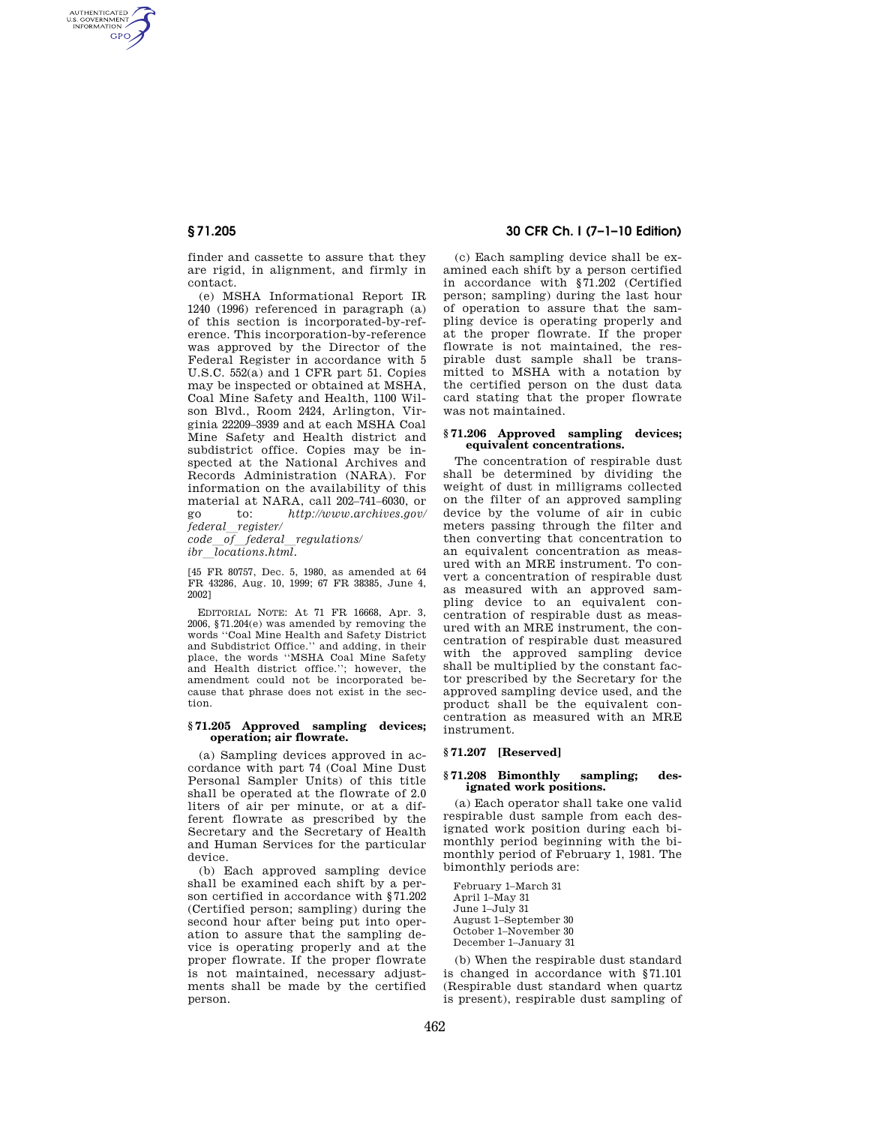AUTHENTICATED<br>U.S. GOVERNMENT<br>INFORMATION **GPO** 

> finder and cassette to assure that they are rigid, in alignment, and firmly in contact.

> (e) MSHA Informational Report IR 1240 (1996) referenced in paragraph (a) of this section is incorporated-by-reference. This incorporation-by-reference was approved by the Director of the Federal Register in accordance with 5 U.S.C. 552(a) and 1 CFR part 51. Copies may be inspected or obtained at MSHA, Coal Mine Safety and Health, 1100 Wilson Blvd., Room 2424, Arlington, Virginia 22209–3939 and at each MSHA Coal Mine Safety and Health district and subdistrict office. Copies may be inspected at the National Archives and Records Administration (NARA). For information on the availability of this material at NARA, call 202–741–6030, or go to: *http://www.archives.gov/ federal*l*register/*

*code*l*of*l*federal*l*regulations/ ibr locations.html.* 

[45 FR 80757, Dec. 5, 1980, as amended at 64 FR 43286, Aug. 10, 1999; 67 FR 38385, June 4, 2002]

EDITORIAL NOTE: At 71 FR 16668, Apr. 3, 2006, §71.204(e) was amended by removing the words ''Coal Mine Health and Safety District and Subdistrict Office.'' and adding, in their place, the words ''MSHA Coal Mine Safety and Health district office.''; however, the amendment could not be incorporated because that phrase does not exist in the section.

### **§ 71.205 Approved sampling devices; operation; air flowrate.**

(a) Sampling devices approved in accordance with part 74 (Coal Mine Dust Personal Sampler Units) of this title shall be operated at the flowrate of 2.0 liters of air per minute, or at a different flowrate as prescribed by the Secretary and the Secretary of Health and Human Services for the particular device.

(b) Each approved sampling device shall be examined each shift by a person certified in accordance with §71.202 (Certified person; sampling) during the second hour after being put into operation to assure that the sampling device is operating properly and at the proper flowrate. If the proper flowrate is not maintained, necessary adjustments shall be made by the certified person.

# **§ 71.205 30 CFR Ch. I (7–1–10 Edition)**

(c) Each sampling device shall be examined each shift by a person certified in accordance with §71.202 (Certified person; sampling) during the last hour of operation to assure that the sampling device is operating properly and at the proper flowrate. If the proper flowrate is not maintained, the respirable dust sample shall be transmitted to MSHA with a notation by the certified person on the dust data card stating that the proper flowrate was not maintained.

#### **§ 71.206 Approved sampling devices; equivalent concentrations.**

The concentration of respirable dust shall be determined by dividing the weight of dust in milligrams collected on the filter of an approved sampling device by the volume of air in cubic meters passing through the filter and then converting that concentration to an equivalent concentration as measured with an MRE instrument. To convert a concentration of respirable dust as measured with an approved sampling device to an equivalent concentration of respirable dust as measured with an MRE instrument, the concentration of respirable dust measured with the approved sampling device shall be multiplied by the constant factor prescribed by the Secretary for the approved sampling device used, and the product shall be the equivalent concentration as measured with an MRE instrument.

#### **§ 71.207 [Reserved]**

#### **§ 71.208 Bimonthly sampling; designated work positions.**

(a) Each operator shall take one valid respirable dust sample from each designated work position during each bimonthly period beginning with the bimonthly period of February 1, 1981. The bimonthly periods are:

February 1–March 31 April 1–May 31 June 1–July 31 August 1–September 30 October 1–November 30 December 1–January 31

(b) When the respirable dust standard is changed in accordance with §71.101 (Respirable dust standard when quartz is present), respirable dust sampling of